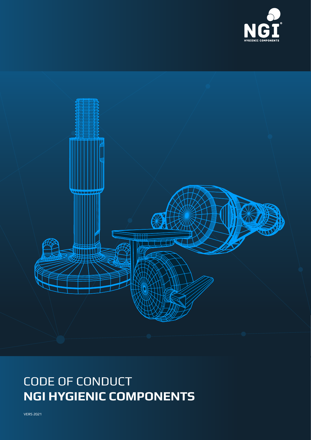



VERS 2021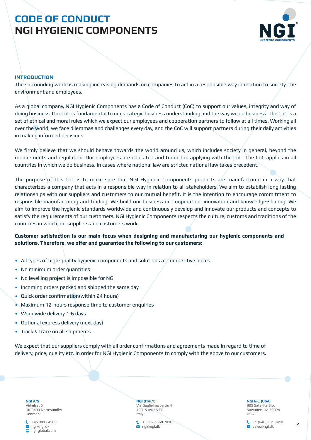

# **INTRODUCTION**

The surrounding world is making increasing demands on companies to act in a responsible way in relation to society, the environment and employees.

As a global company, NGI Hygienic Components has a Code of Conduct (CoC) to support our values, integrity and way of doing business. Our CoC is fundamental to our strategic business understanding and the way we do business. The CoC is a set of ethical and moral rules which we expect our employees and cooperation partners to follow at all times. Working all over the world, we face dilemmas and challenges every day, and the CoC will support partners during their daily activities in making informed decisions.

We firmly believe that we should behave towards the world around us, which includes society in general, beyond the requirements and regulation. Our employees are educated and trained in applying with the CoC. The CoC applies in all countries in which we do business. In cases where national law are stricter, national law takes precedent.

The purpose of this CoC is to make sure that NGI Hygienic Components products are manufactured in a way that characterizes a company that acts in a responsible way in relation to all stakeholders. We aim to establish long lasting relationships with our suppliers and customers to our mutual benefit. It is the intention to encourage commitment to responsible manufacturing and trading. We build our business on cooperation, innovation and knowledge-sharing. We aim to improve the hygienic standards worldwide and continuously develop and innovate our products and concepts to satisfy the requirements of our customers. NGI Hygienic Components respects the culture, customs and traditions of the countries in which our suppliers and customers work.

# **Customer satisfaction is our main focus when designing and manufacturing our hygienic components and solutions. Therefore, we offer and guarantee the following to our customers:**

- All types of high-quality hygienic components and solutions at competitive prices
- No minimum order quantities
- No levelling project is impossible for NGI
- Incoming orders packed and shipped the same day
- Quick order confirmation(within 24 hours)
- Maximum 12-hours response time to customer enquiries
- Worldwide delivery 1-6 days
- Optional express delivery (next day)
- Track & trace on all shipments

We expect that our suppliers comply with all order confirmations and agreements made in regard to time of delivery, price, quality etc. in order for NGI Hygienic Components to comply with the above to our customers.

**NGI A/S**  Virkelyst 5 DK-9400 Nørresundby Denmark



**NGI (ITALY)** Via Guglielmo Jervis 4 10015 IVREA TO Italy



**NGI Inc. (USA)** 805 Satellite Blvd Suwanee, GA 30024 USA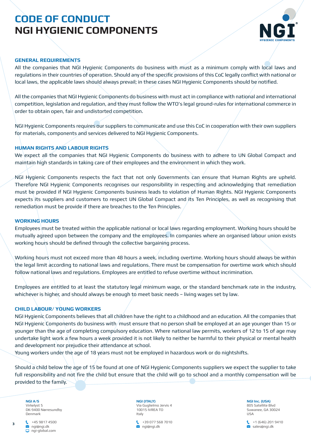

#### **GENERAL REQUIREMENTS**

All the companies that NGI Hygienic Components do business with must as a minimum comply with local laws and regulations in their countries of operation. Should any of the specific provisions of this CoC legally conflict with national or local laws, the applicable laws should always prevail; in these cases NGI Hygienic Components should be notified.

All the companies that NGI Hygienic Components do business with must act in compliance with national and international competition, legislation and regulation, and they must follow the WTO's legal ground-rules for international commerce in order to obtain open, fair and undistorted competition.

NGI Hygienic Components requires our suppliers to communicate and use this CoC in cooperation with their own suppliers for materials, components and services delivered to NGI Hygienic Components.

### **HUMAN RIGHTS AND LABOUR RIGHTS**

We expect all the companies that NGI Hygienic Components do business with to adhere to UN Global Compact and maintain high standards in taking care of their employees and the environment in which they work.

NGI Hygienic Components respects the fact that not only Governments can ensure that Human Rights are upheld. Therefore NGI Hygienic Components recognises our responsibility in respecting and acknowledging that remediation must be provided if NGI Hygienic Components business leads to violation of Human Rights. NGI Hygienic Components expects its suppliers and customers to respect UN Global Compact and its Ten Principles, as well as recognising that remediation must be provide if there are breaches to the Ten Principles.

#### **WORKING HOURS**

Employees must be treated within the applicable national or local laws regarding employment. Working hours should be mutually agreed upon between the company and the employees. In companies where an organised labour union exists working hours should be defined through the collective bargaining process.

Working hours must not exceed more than 48 hours a week, including overtime. Working hours should always be within the legal limit according to national laws and regulations. There must be compensation for overtime work which should follow national laws and regulations. Employees are entitled to refuse overtime without incrimination.

Employees are entitled to at least the statutory legal minimum wage, or the standard benchmark rate in the industry, whichever is higher, and should always be enough to meet basic needs – living wages set by law.

# **CHILD LABOUR/ YOUNG WORKERS**

NGI Hygienic Components believes that all children have the right to a childhood and an education. All the companies that NGI Hygienic Components do business with/must ensure that no person shall be employed at an age younger than 15 or younger than the age of completing compulsory education. Where national law permits, workers of 12 to 15 of age may undertake light work a few hours a week provided it is not likely to neither be harmful to their physical or mental health and development nor prejudice their attendance at school.

Young workers under the age of 18 years must not be employed in hazardous work or do nightshifts.

Should a child below the age of 15 be found at one of NGI Hygienic Components suppliers we expect the supplier to take full responsibility and not fire the child but ensure that the child will go to school and a monthly compensation will be provided to the family.

**NGI A/S**  Virkelyst 5 DK-9400 Nørresundby Denmark



**3**

+45 9817 4500

**NGI (ITALY)** Via Guglielmo Jervis 4 10015 IVREA TO Italy



**NGI Inc. (USA)** 805 Satellite Blvd Suwanee, GA 30024 USA

+1 (646) 201 9410 sales@ngi.dk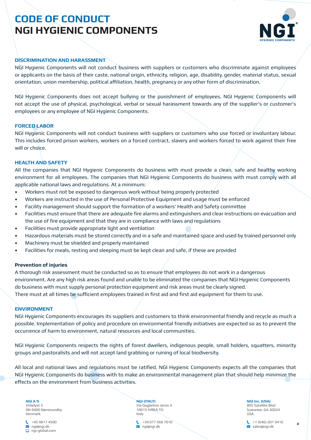

# **DISCRIMINATION AND HARASSMENT**

NGI Hygienic Components will not conduct business with suppliers or customers who discriminate against employees or applicants on the basis of their caste, national origin, ethnicity, religion, age, disability, gender, material status, sexual orientation, union membership, political affiliation, health, pregnancy or any other form of discrimination.

NGI Hygienic Components does not accept bullying or the punishment of employees. NGI Hygienic Components will not accept the use of physical, psychological, verbal or sexual harassment towards any of the supplier's or customer's employees or any employee of NGI Hygienic Components.

# **FORCED LABOR**

NGI Hygienic Components will not conduct business with suppliers or customers who use forced or involuntary labour. This includes forced prison workers, workers on a forced contract, slavery and workers forced to work against their free will or choice.

# **HEALTH AND SAFETY**

All the companies that NGI Hygienic Components do business with must provide a clean, safe and healthy working environment for all employees. The companies that NGI Hygienic Components do business with must comply with all applicable national laws and regulations. At a minimum:

- Workers must not be exposed to dangerous work without being properly protected
- Workers are instructed in the use of Personal Protective Equipment and usage must be enforced
- Facility management should support the formation of a workers' Health and Safety committee
- Facilities must ensure that there are adequate fire alarms and extinguishers and clear instructions on evacuation and the use of fire equipment and that they are in compliance with laws and regulations
- Facilities must provide appropriate light and ventilation
- Hazardous materials must be stored correctly and in a safe and maintained space and used by trained personnel only
- Machinery must be shielded and properly maintained
- Facilities for meals, resting and sleeping must be kept clean and safe, if these are provided

# **Prevention of injuries**

A thorough risk assessment must be conducted so as to ensure that employees do not work in a dangerous environment. Are any high risk areas found and unable to be eliminated the companies that NGI Hygienic Components do business with must supply personal protection equipment and risk areas must be clearly signed. There must at all times be sufficient employees trained in first aid and first aid equipment for them to use.

#### **ENVIRONMENT**

NGI Hygienic Components encourages its suppliers and customers to think environmental friendly and recycle as much a possible. Implementation of policy and procedure on environmental friendly initiatives are expected so as to prevent the occurrence of harm to environment, natural resources and local communities.

NGI Hygienic Components respects the rights of forest dwellers, indigenous people, small holders, squatters, minority groups and pastoralists and will not accept land grabbing or ruining of local biodiversity.

All local and national laws and regulations must be ratified. NGI Hygienic Components expects all the companies that NGI Hygienic Components do business with to make an environmental management plan that should help minimize the effects on the environment from business activities.

**NGI A/S**  Virkelyst 5 DK-9400 Nørresundby Denmark

+45 9817 4500 ngi@ngi.dk  $\Box$  ngi-global.com

**NGI (ITALY)** Via Guglielmo Jervis 4 10015 IVREA TO Italy



**NGI Inc. (USA)** 805 Satellite Blvd Suwanee, GA 30024 USA



**4**